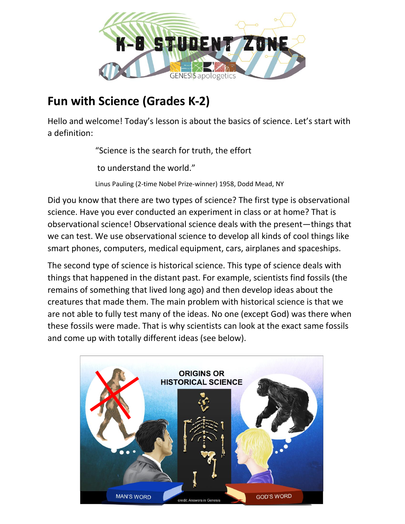

# **Fun with Science (Grades K-2)**

Hello and welcome! Today's lesson is about the basics of science. Let's start with a definition:

"Science is the search for truth, the effort

to understand the world."

Linus Pauling (2-time Nobel Prize-winner) 1958, Dodd Mead, NY

Did you know that there are two types of science? The first type is observational science. Have you ever conducted an experiment in class or at home? That is observational science! Observational science deals with the present—things that we can test. We use observational science to develop all kinds of cool things like smart phones, computers, medical equipment, cars, airplanes and spaceships.

The second type of science is historical science. This type of science deals with things that happened in the distant past. For example, scientists find fossils (the remains of something that lived long ago) and then develop ideas about the creatures that made them. The main problem with historical science is that we are not able to fully test many of the ideas. No one (except God) was there when these fossils were made. That is why scientists can look at the exact same fossils and come up with totally different ideas (see below).

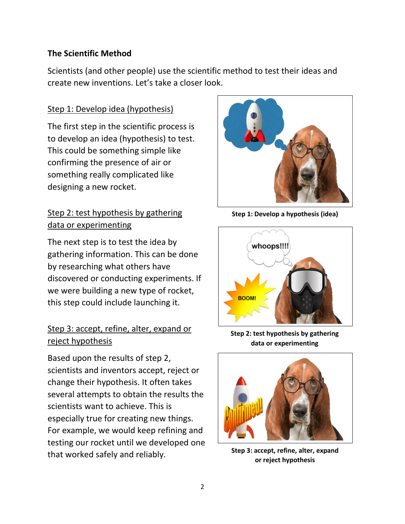#### **The Scientific Method**

Scientists (and other people) use the scientific method to test their ideas and create new inventions. Let's take a closer look.

#### Step 1: Develop idea (hypothesis)

The first step in the scientific process is to develop an idea (hypothesis) to test. This could be something simple like confirming the presence of air or something really complicated like designing a new rocket.

# Step 2: test hypothesis by gathering data or experimenting

The next step is to test the idea by gathering information. This can be done by researching what others have discovered or conducting experiments. If we were building a new type of rocket, this step could include launching it.

### Step 3: accept, refine, alter, expand or reject hypothesis

Based upon the results of step 2, scientists and inventors accept, reject or change their hypothesis. It often takes several attempts to obtain the results the scientists want to achieve. This is especially true for creating new things. For example, we would keep refining and testing our rocket until we developed one that worked safely and reliably.



**Step 1: Develop a hypothesis (idea)**



**Step 2: test hypothesis by gathering data or experimenting**



**Step 3: accept, refine, alter, expand or reject hypothesis**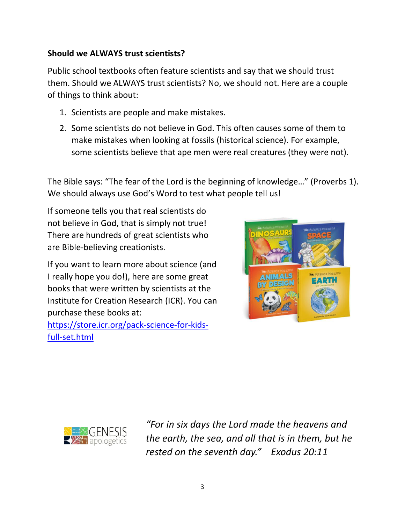#### **Should we ALWAYS trust scientists?**

Public school textbooks often feature scientists and say that we should trust them. Should we ALWAYS trust scientists? No, we should not. Here are a couple of things to think about:

- 1. Scientists are people and make mistakes.
- 2. Some scientists do not believe in God. This often causes some of them to make mistakes when looking at fossils (historical science). For example, some scientists believe that ape men were real creatures (they were not).

The Bible says: "The fear of the Lord is the beginning of knowledge…" (Proverbs 1). We should always use God's Word to test what people tell us!

If someone tells you that real scientists do not believe in God, that is simply not true! There are hundreds of great scientists who are Bible-believing creationists.

If you want to learn more about science (and I really hope you do!), here are some great books that were written by scientists at the Institute for Creation Research (ICR). You can purchase these books at:

[https://store.icr.org/pack-science-for-kids](https://store.icr.org/pack-science-for-kids-full-set.html)[full-set.html](https://store.icr.org/pack-science-for-kids-full-set.html)





*"For in six days the Lord made the heavens and the earth, the sea, and all that is in them, but he rested on the seventh day." Exodus 20:11*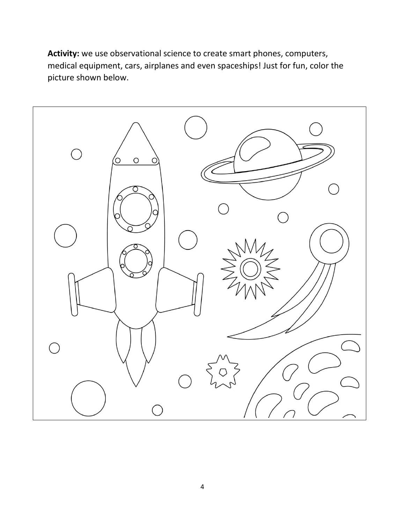**Activity:** we use observational science to create smart phones, computers, medical equipment, cars, airplanes and even spaceships! Just for fun, color the picture shown below.

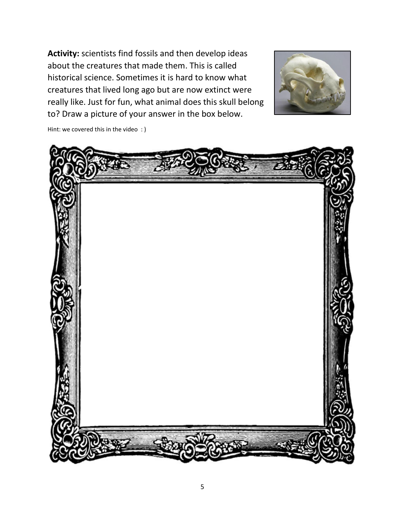**Activity:** scientists find fossils and then develop ideas about the creatures that made them. This is called historical science. Sometimes it is hard to know what creatures that lived long ago but are now extinct were really like. Just for fun, what animal does this skull belong to? Draw a picture of your answer in the box below.



Hint: we covered this in the video : )

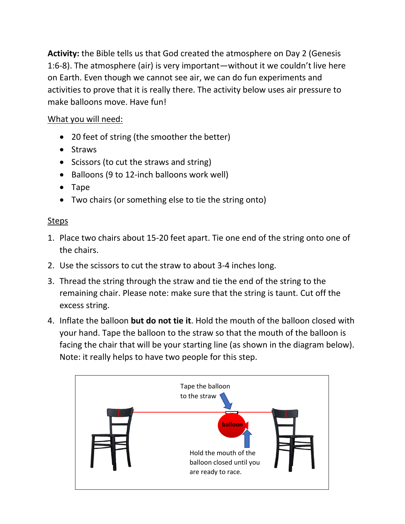**Activity:** the Bible tells us that God created the atmosphere on Day 2 (Genesis 1:6-8). The atmosphere (air) is very important—without it we couldn't live here on Earth. Even though we cannot see air, we can do fun experiments and activities to prove that it is really there. The activity below uses air pressure to make balloons move. Have fun!

# What you will need:

- 20 feet of string (the smoother the better)
- Straws
- Scissors (to cut the straws and string)
- Balloons (9 to 12-inch balloons work well)
- Tape
- Two chairs (or something else to tie the string onto)

### Steps

- 1. Place two chairs about 15-20 feet apart. Tie one end of the string onto one of the chairs.
- 2. Use the scissors to cut the straw to about 3-4 inches long.
- 3. Thread the string through the straw and tie the end of the string to the remaining chair. Please note: make sure that the string is taunt. Cut off the excess string.
- 4. Inflate the balloon **but do not tie it**. Hold the mouth of the balloon closed with your hand. Tape the balloon to the straw so that the mouth of the balloon is facing the chair that will be your starting line (as shown in the diagram below). Note: it really helps to have two people for this step.